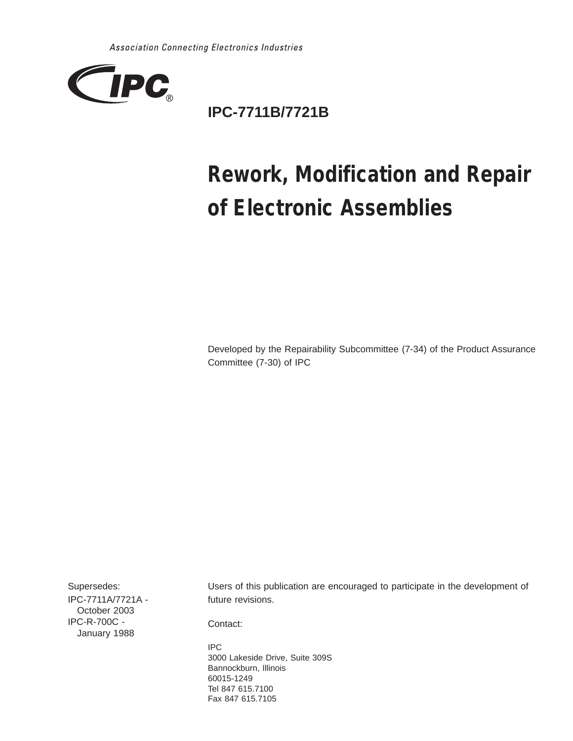

# **IPC-7711B/7721B**

# **Rework, Modification and Repair of Electronic Assemblies**

Developed by the Repairability Subcommittee (7-34) of the Product Assurance Committee (7-30) of IPC

Supersedes: IPC-7711A/7721A - October 2003 IPC-R-700C - January 1988

Users of this publication are encouraged to participate in the development of future revisions.

Contact:

IPC 3000 Lakeside Drive, Suite 309S Bannockburn, Illinois 60015-1249 Tel 847 615.7100 Fax 847 615.7105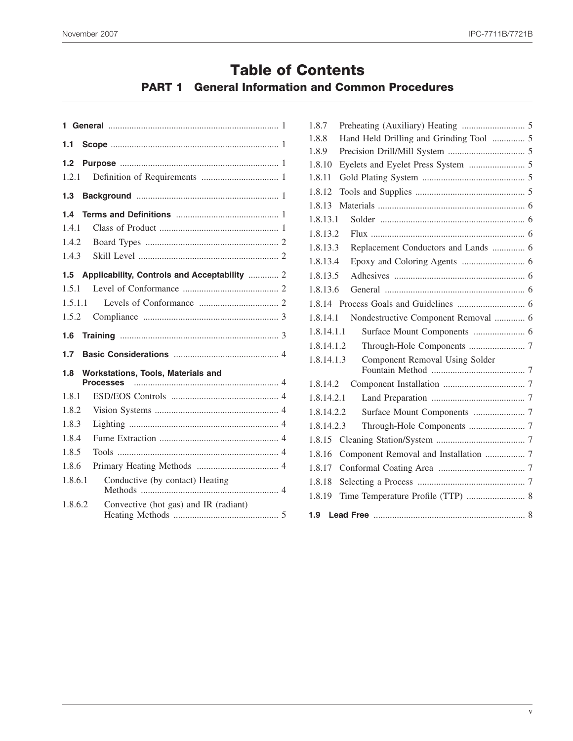## **Table of Contents**

### **PART 1 General Information and Common Procedures**

| 1.1     |                                                               |  |
|---------|---------------------------------------------------------------|--|
| 1.2     |                                                               |  |
| 1.2.1   |                                                               |  |
| 1.3     |                                                               |  |
| 1.4     |                                                               |  |
| 1.4.1   |                                                               |  |
| 1.4.2   |                                                               |  |
| 1.4.3   |                                                               |  |
|         | 1.5 Applicability, Controls and Acceptability  2              |  |
| 1.5.1   |                                                               |  |
| 1.5.1.1 |                                                               |  |
| 1.5.2   |                                                               |  |
|         |                                                               |  |
| 1.6     |                                                               |  |
| 1.7     |                                                               |  |
| 1.8     | <b>Workstations, Tools, Materials and</b><br><b>Processes</b> |  |
| 1.8.1   |                                                               |  |
| 1.8.2   |                                                               |  |
| 1.8.3   |                                                               |  |
| 1.8.4   |                                                               |  |
| 1.8.5   |                                                               |  |
| 1.8.6   |                                                               |  |
| 1.8.6.1 | Conductive (by contact) Heating                               |  |

| 1.8.7      |                                         |  |
|------------|-----------------------------------------|--|
| 1.8.8      | Hand Held Drilling and Grinding Tool  5 |  |
| 1.8.9      |                                         |  |
| 1.8.10     |                                         |  |
| 1.8.11     |                                         |  |
| 1.8.12     |                                         |  |
| 1.8.13     |                                         |  |
| 1.8.13.1   |                                         |  |
| 1.8.13.2   |                                         |  |
| 1.8.13.3   | Replacement Conductors and Lands  6     |  |
| 1.8.13.4   |                                         |  |
| 1.8.13.5   |                                         |  |
| 1.8.13.6   |                                         |  |
|            |                                         |  |
| 1.8.14.1   | Nondestructive Component Removal  6     |  |
| 1.8.14.1.1 |                                         |  |
| 1.8.14.1.2 |                                         |  |
| 1.8.14.1.3 | Component Removal Using Solder          |  |
| 1.8.14.2   |                                         |  |
| 1.8.14.2.1 |                                         |  |
| 1.8.14.2.2 |                                         |  |
| 1.8.14.2.3 |                                         |  |
|            |                                         |  |
| 1.8.16     | Component Removal and Installation  7   |  |
| 1.8.17     |                                         |  |
| 1.8.18     |                                         |  |
| 1.8.19     |                                         |  |
|            |                                         |  |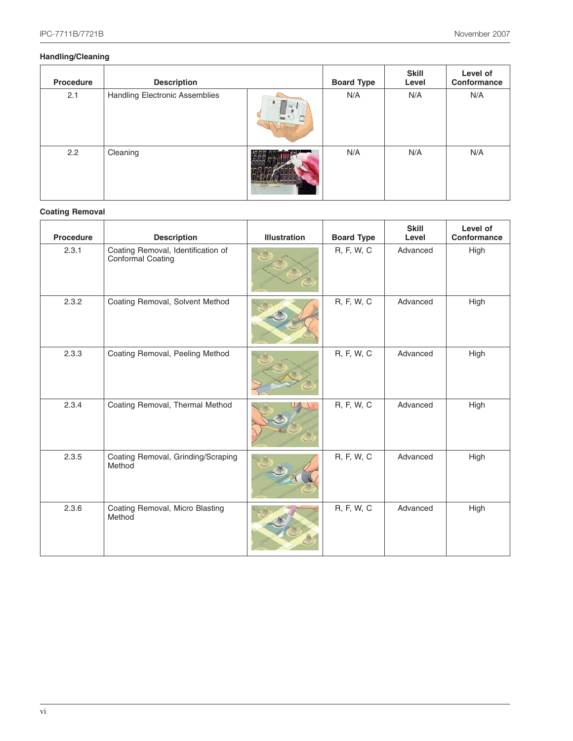#### **Handling/Cleaning**

| Procedure | <b>Description</b>                    |            | <b>Board Type</b> | <b>Skill</b><br>Level | Level of<br>Conformance |
|-----------|---------------------------------------|------------|-------------------|-----------------------|-------------------------|
| 2.1       | <b>Handling Electronic Assemblies</b> | $+50$<br>Б | N/A               | N/A                   | N/A                     |
| 2.2       | Cleaning                              |            | N/A               | N/A                   | N/A                     |

#### **Coating Removal**

| <b>Procedure</b> | <b>Description</b>                                      | <b>Illustration</b> | <b>Board Type</b> | <b>Skill</b><br>Level | Level of<br>Conformance |
|------------------|---------------------------------------------------------|---------------------|-------------------|-----------------------|-------------------------|
| 2.3.1            | Coating Removal, Identification of<br>Conformal Coating |                     | R, F, W, C        | Advanced              | High                    |
| 2.3.2            | Coating Removal, Solvent Method                         |                     | R, F, W, C        | Advanced              | High                    |
| 2.3.3            | Coating Removal, Peeling Method                         |                     | R, F, W, C        | Advanced              | High                    |
| 2.3.4            | Coating Removal, Thermal Method                         |                     | R, F, W, C        | Advanced              | High                    |
| 2.3.5            | Coating Removal, Grinding/Scraping<br>Method            |                     | R, F, W, C        | Advanced              | High                    |
| 2.3.6            | Coating Removal, Micro Blasting<br>Method               |                     | R, F, W, C        | Advanced              | High                    |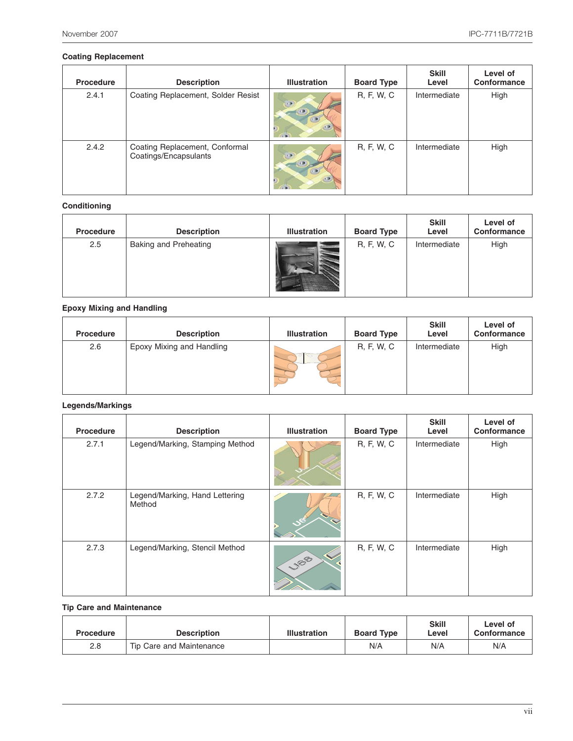#### **Coating Replacement**

| Procedure | <b>Description</b>                                      | <b>Illustration</b> | <b>Board Type</b> | <b>Skill</b><br>Level | Level of<br>Conformance |
|-----------|---------------------------------------------------------|---------------------|-------------------|-----------------------|-------------------------|
| 2.4.1     | Coating Replacement, Solder Resist                      | <b>TABE</b>         | R, F, W, C        | Intermediate          | High                    |
| 2.4.2     | Coating Replacement, Conformal<br>Coatings/Encapsulants | $\sqrt{2}$          | R, F, W, C        | Intermediate          | High                    |

#### **Conditioning**

| Procedure | <b>Description</b>           | <b>Illustration</b> | <b>Board Type</b> | <b>Skill</b><br>Level | Level of<br>Conformance |
|-----------|------------------------------|---------------------|-------------------|-----------------------|-------------------------|
| 2.5       | <b>Baking and Preheating</b> |                     | R, F, W, C        | Intermediate          | High                    |

#### **Epoxy Mixing and Handling**

| <b>Procedure</b> | <b>Description</b>        | <b>Illustration</b> | <b>Board Type</b> | <b>Skill</b><br>Level | Level of<br>Conformance |
|------------------|---------------------------|---------------------|-------------------|-----------------------|-------------------------|
| 2.6              | Epoxy Mixing and Handling |                     | R, F, W, C        | Intermediate          | High                    |

#### **Legends/Markings**

| Procedure | <b>Description</b>                       | <b>Illustration</b>                          | <b>Board Type</b> | <b>Skill</b><br>Level | Level of<br>Conformance |
|-----------|------------------------------------------|----------------------------------------------|-------------------|-----------------------|-------------------------|
| 2.7.1     | Legend/Marking, Stamping Method          |                                              | R, F, W, C        | Intermediate          | High                    |
| 2.7.2     | Legend/Marking, Hand Lettering<br>Method |                                              | R, F, W, C        | Intermediate          | High                    |
| 2.7.3     | Legend/Marking, Stencil Method           | $\blacklozenge$<br>$v_{\text{B}}^{\text{B}}$ | R, F, W, C        | Intermediate          | High                    |

#### **Tip Care and Maintenance**

| <b>Procedure</b> | <b>Description</b>       | <b>Illustration</b> | <b>Board Type</b> | <b>Skill</b><br>Level | Level of<br>Conformance |
|------------------|--------------------------|---------------------|-------------------|-----------------------|-------------------------|
| 2.8              | Tip Care and Maintenance |                     | N/A               | N/A                   | N/A                     |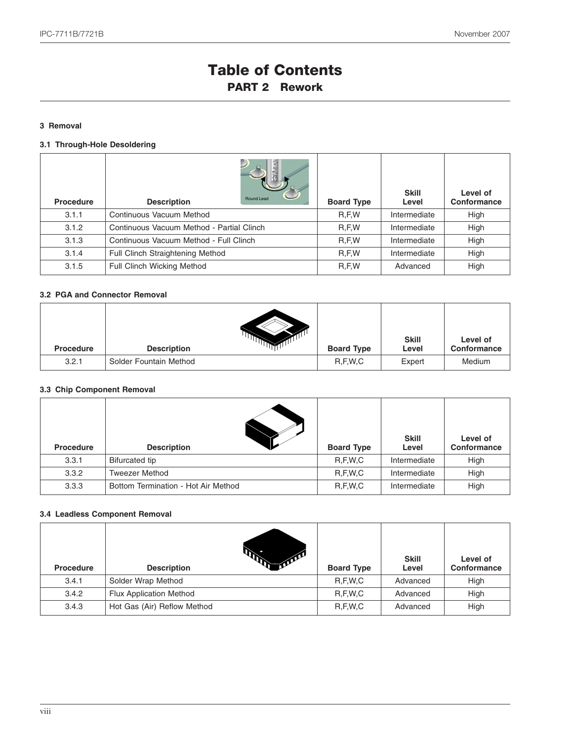## **Table of Contents PART 2 Rework**

#### **3 Removal**

#### **3.1 Through-Hole Desoldering**

| Procedure | Round Lead<br><b>Description</b>          | <b>Board Type</b> | <b>Skill</b><br>Level | Level of<br>Conformance |
|-----------|-------------------------------------------|-------------------|-----------------------|-------------------------|
| 3.1.1     | Continuous Vacuum Method                  | R, F, W           | Intermediate          | High                    |
| 3.1.2     | Continuous Vacuum Method - Partial Clinch | R, F, W           | Intermediate          | High                    |
| 3.1.3     | Continuous Vacuum Method - Full Clinch    | R, F, W           | Intermediate          | High                    |
| 3.1.4     | Full Clinch Straightening Method          | R, F, W           | Intermediate          | High                    |
| 3.1.5     | <b>Full Clinch Wicking Method</b>         | R, F, W           | Advanced              | High                    |

#### **3.2 PGA and Connector Removal**

| <b>Procedure</b> | <b>Description</b>     | <b>Board Type</b> | <b>Skill</b><br>Level | Level of<br>Conformance |
|------------------|------------------------|-------------------|-----------------------|-------------------------|
| 3.2.1            | Solder Fountain Method | R, F, W, C        | Expert                | Medium                  |

#### **3.3 Chip Component Removal**

| <b>Procedure</b> | <b>Description</b>                  | <b>Board Type</b> | <b>Skill</b><br>Level | Level of<br>Conformance |
|------------------|-------------------------------------|-------------------|-----------------------|-------------------------|
| 3.3.1            | <b>Bifurcated tip</b>               | R, F, W, C        | Intermediate          | High                    |
| 3.3.2            | <b>Tweezer Method</b>               | R, F, W, C        | Intermediate          | High                    |
| 3.3.3            | Bottom Termination - Hot Air Method | R, F, W, C        | Intermediate          | High                    |

#### **3.4 Leadless Component Removal**

| <b>Procedure</b> | ADA .<br><b>Description</b>    | <b>Board Type</b> | <b>Skill</b><br>Level | Level of<br>Conformance |
|------------------|--------------------------------|-------------------|-----------------------|-------------------------|
| 3.4.1            | Solder Wrap Method             | R.F.W.C           | Advanced              | High                    |
| 3.4.2            | <b>Flux Application Method</b> | R.F.W.C           | Advanced              | High                    |
| 3.4.3            | Hot Gas (Air) Reflow Method    | R.F.W.C           | Advanced              | High                    |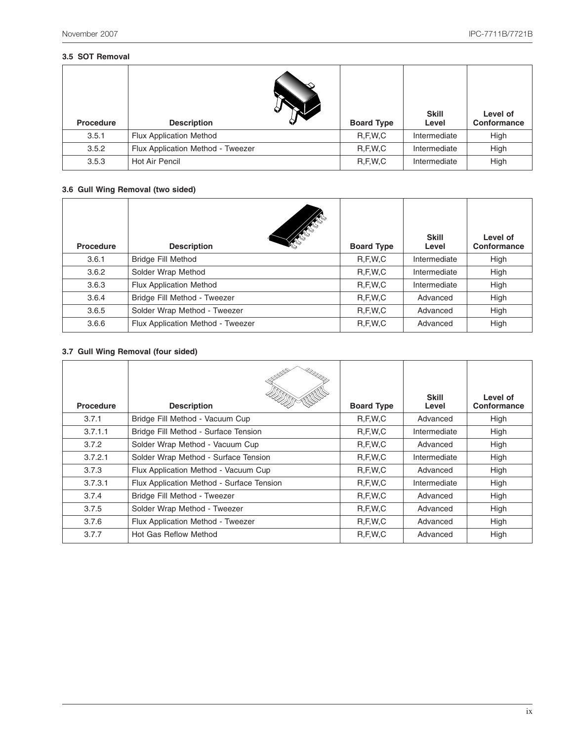#### **3.5 SOT Removal**

| <b>Procedure</b> | <b>Description</b>                | <b>Board Type</b> | <b>Skill</b><br>Level | Level of<br>Conformance |
|------------------|-----------------------------------|-------------------|-----------------------|-------------------------|
| 3.5.1            | <b>Flux Application Method</b>    | R, F, W, C        | Intermediate          | High                    |
| 3.5.2            | Flux Application Method - Tweezer | R, F, W, C        | Intermediate          | High                    |
| 3.5.3            | Hot Air Pencil                    | R, F, W, C        | Intermediate          | High                    |

#### **3.6 Gull Wing Removal (two sided)**

| Procedure | <b>SARCESS</b><br><b>Description</b> | <b>Board Type</b> | <b>Skill</b><br>Level | Level of<br>Conformance |
|-----------|--------------------------------------|-------------------|-----------------------|-------------------------|
| 3.6.1     | <b>Bridge Fill Method</b>            | R, F, W, C        | Intermediate          | High                    |
| 3.6.2     | Solder Wrap Method                   | R, F, W, C        | Intermediate          | High                    |
| 3.6.3     | <b>Flux Application Method</b>       | R, F, W, C        | Intermediate          | High                    |
| 3.6.4     | Bridge Fill Method - Tweezer         | R, F, W, C        | Advanced              | High                    |
| 3.6.5     | Solder Wrap Method - Tweezer         | R, F, W, C        | Advanced              | High                    |
| 3.6.6     | Flux Application Method - Tweezer    | R, F, W, C        | Advanced              | High                    |

#### **3.7 Gull Wing Removal (four sided)**

| <b>Procedure</b> | <b>SOUTHERN</b><br>- UMMAR<br><b>Description</b> | <b>Board Type</b> | <b>Skill</b><br>Level | Level of<br><b>Conformance</b> |
|------------------|--------------------------------------------------|-------------------|-----------------------|--------------------------------|
| 3.7.1            | Bridge Fill Method - Vacuum Cup                  | R, F, W, C        | Advanced              | High                           |
| 3.7.1.1          | Bridge Fill Method - Surface Tension             | R, F, W, C        | Intermediate          | High                           |
| 3.7.2            | Solder Wrap Method - Vacuum Cup                  | R, F, W, C        | Advanced              | High                           |
| 3.7.2.1          | Solder Wrap Method - Surface Tension             | R, F, W, C        | Intermediate          | High                           |
| 3.7.3            | Flux Application Method - Vacuum Cup             | R, F, W, C        | Advanced              | High                           |
| 3.7.3.1          | Flux Application Method - Surface Tension        | R, F, W, C        | Intermediate          | High                           |
| 3.7.4            | Bridge Fill Method - Tweezer                     | R, F, W, C        | Advanced              | High                           |
| 3.7.5            | Solder Wrap Method - Tweezer                     | R, F, W, C        | Advanced              | High                           |
| 3.7.6            | Flux Application Method - Tweezer                | R, F, W, C        | Advanced              | High                           |
| 3.7.7            | Hot Gas Reflow Method                            | R, F, W, C        | Advanced              | High                           |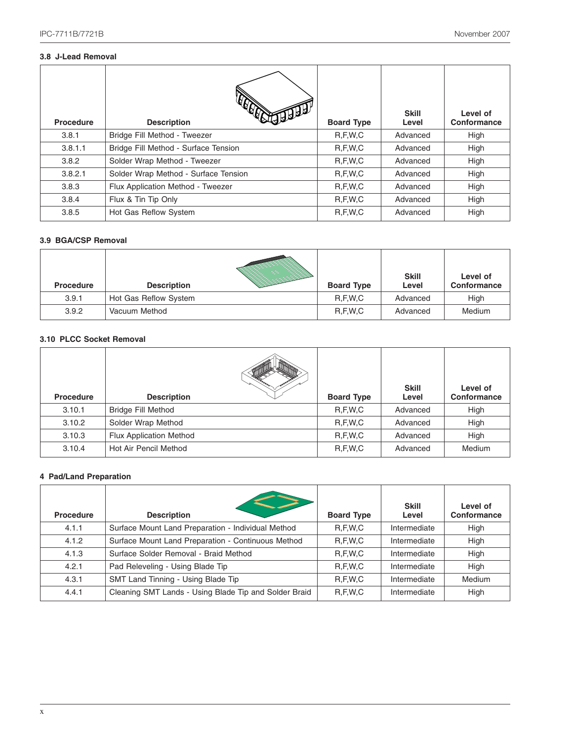#### **3.8 J-Lead Removal**

| <b>Procedure</b> | <b>Description</b>                   | <b>Board Type</b> | <b>Skill</b><br>Level | Level of<br>Conformance |
|------------------|--------------------------------------|-------------------|-----------------------|-------------------------|
| 3.8.1            | Bridge Fill Method - Tweezer         | R, F, W, C        | Advanced              | High                    |
| 3.8.1.1          | Bridge Fill Method - Surface Tension | R, F, W, C        | Advanced              | High                    |
| 3.8.2            | Solder Wrap Method - Tweezer         | R, F, W, C        | Advanced              | High                    |
| 3.8.2.1          | Solder Wrap Method - Surface Tension | R, F, W, C        | Advanced              | High                    |
| 3.8.3            | Flux Application Method - Tweezer    | R, F, W, C        | Advanced              | High                    |
| 3.8.4            | Flux & Tin Tip Only                  | R, F, W, C        | Advanced              | High                    |
| 3.8.5            | Hot Gas Reflow System                | R, F, W, C        | Advanced              | High                    |

#### **3.9 BGA/CSP Removal**

| <b>Procedure</b> | <b>Description</b>    | <b>Board Type</b> | <b>Skill</b><br>Level | Level of<br>Conformance |
|------------------|-----------------------|-------------------|-----------------------|-------------------------|
| 3.9.1            | Hot Gas Reflow System | R,F,W,C           | Advanced              | High                    |
| 3.9.2            | Vacuum Method         | R,F,W,C           | Advanced              | Medium                  |

#### **3.10 PLCC Socket Removal**

| <b>Procedure</b> | <b>Description</b>             | <b>Board Type</b> | <b>Skill</b><br>Level | Level of<br>Conformance |
|------------------|--------------------------------|-------------------|-----------------------|-------------------------|
| 3.10.1           | <b>Bridge Fill Method</b>      | R, F, W, C        | Advanced              | High                    |
| 3.10.2           | Solder Wrap Method             | R, F, W, C        | Advanced              | High                    |
| 3.10.3           | <b>Flux Application Method</b> | R, F, W, C        | Advanced              | High                    |
| 3.10.4           | Hot Air Pencil Method          | R, F, W, C        | Advanced              | Medium                  |

#### **4 Pad/Land Preparation**

| Procedure | <b>Description</b>                                    | <b>Board Type</b> | <b>Skill</b><br>Level | Level of<br>Conformance |
|-----------|-------------------------------------------------------|-------------------|-----------------------|-------------------------|
| 4.1.1     | Surface Mount Land Preparation - Individual Method    | R, F, W, C        | Intermediate          | High                    |
| 4.1.2     | Surface Mount Land Preparation - Continuous Method    | R, F, W, C        | Intermediate          | High                    |
| 4.1.3     | Surface Solder Removal - Braid Method                 | R, F, W, C        | Intermediate          | High                    |
| 4.2.1     | Pad Releveling - Using Blade Tip                      | R, F, W, C        | Intermediate          | High                    |
| 4.3.1     | SMT Land Tinning - Using Blade Tip                    | R, F, W, C        | Intermediate          | Medium                  |
| 4.4.1     | Cleaning SMT Lands - Using Blade Tip and Solder Braid | R, F, W, C        | Intermediate          | High                    |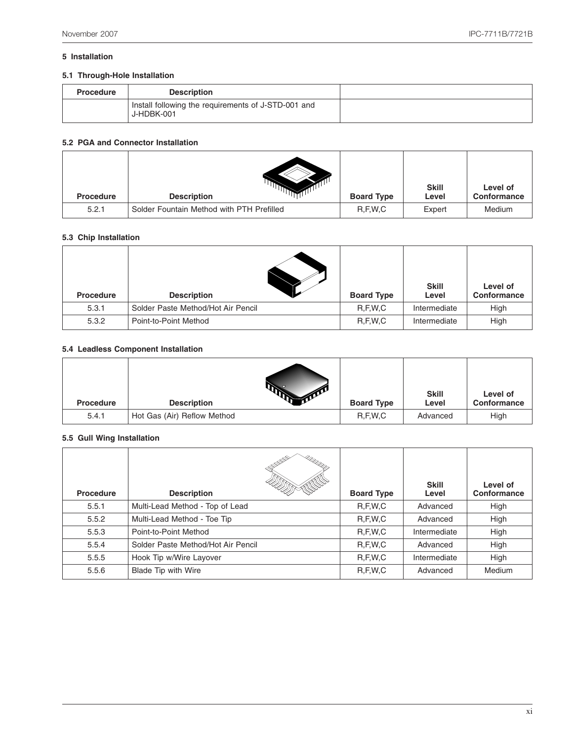#### **5 Installation**

#### **5.1 Through-Hole Installation**

| <b>Procedure</b> | <b>Description</b>                                                |  |
|------------------|-------------------------------------------------------------------|--|
|                  | Install following the requirements of J-STD-001 and<br>J-HDBK-001 |  |

#### **5.2 PGA and Connector Installation**

| <b>Procedure</b> | <b>Description</b>                        | <b>Board Type</b> | <b>Skill</b><br>Level | Level of<br>Conformance |
|------------------|-------------------------------------------|-------------------|-----------------------|-------------------------|
| 5.2.1            | Solder Fountain Method with PTH Prefilled | R, F, W, C        | Expert                | Medium                  |

#### **5.3 Chip Installation**

| Procedure | <b>Description</b>                 | <b>Board Type</b> | <b>Skill</b><br>Level | Level of<br>Conformance |
|-----------|------------------------------------|-------------------|-----------------------|-------------------------|
| 5.3.1     | Solder Paste Method/Hot Air Pencil | R,F,W,C           | Intermediate          | High                    |
| 5.3.2     | Point-to-Point Method              | R, F, W, C        | Intermediate          | High                    |

#### **5.4 Leadless Component Installation**

| <b>Procedure</b> | <b>Description</b>          | <b>Board Type</b> | <b>Skill</b><br>Level | Level of<br>Conformance |
|------------------|-----------------------------|-------------------|-----------------------|-------------------------|
| 5.4.1            | Hot Gas (Air) Reflow Method | R, F, W, C        | Advanced              | High                    |

#### **5.5 Gull Wing Installation**

| <b>Procedure</b> | <b>SOUTH</b><br>ammm <sub>o</sub><br><b>Description</b> | <b>Board Type</b> | <b>Skill</b><br>Level | Level of<br>Conformance |
|------------------|---------------------------------------------------------|-------------------|-----------------------|-------------------------|
| 5.5.1            | Multi-Lead Method - Top of Lead                         | R, F, W, C        | Advanced              | High                    |
| 5.5.2            | Multi-Lead Method - Toe Tip                             | R, F, W, C        | Advanced              | High                    |
| 5.5.3            | Point-to-Point Method                                   | R, F, W, C        | Intermediate          | High                    |
| 5.5.4            | Solder Paste Method/Hot Air Pencil                      | R, F, W, C        | Advanced              | High                    |
| 5.5.5            | Hook Tip w/Wire Layover                                 | R, F, W, C        | Intermediate          | High                    |
| 5.5.6            | Blade Tip with Wire                                     | R, F, W, C        | Advanced              | Medium                  |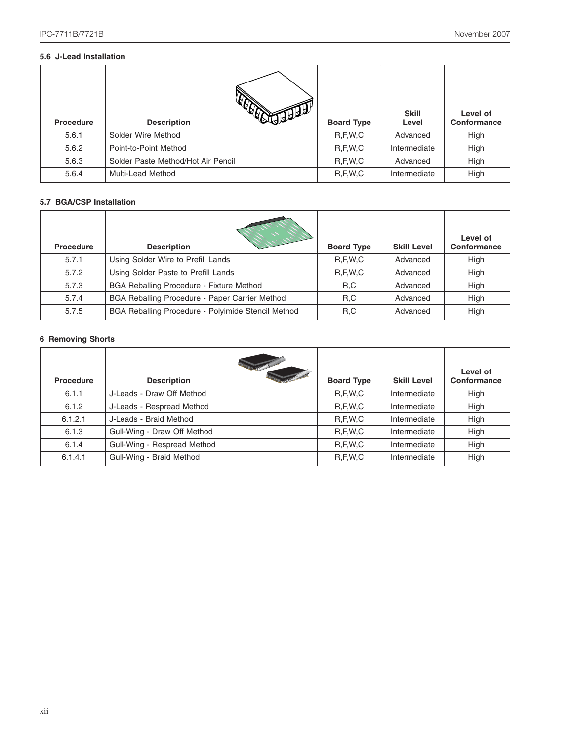#### **5.6 J-Lead Installation**

| <b>Procedure</b> | ΡΩ<br><b>Description</b>           | <b>Board Type</b> | <b>Skill</b><br>Level | Level of<br>Conformance |
|------------------|------------------------------------|-------------------|-----------------------|-------------------------|
| 5.6.1            | Solder Wire Method                 | R, F, W, C        | Advanced              | High                    |
| 5.6.2            | Point-to-Point Method              | R, F, W, C        | Intermediate          | High                    |
| 5.6.3            | Solder Paste Method/Hot Air Pencil | R, F, W, C        | Advanced              | High                    |
| 5.6.4            | <b>Multi-Lead Method</b>           | R, F, W, C        | Intermediate          | High                    |

#### **5.7 BGA/CSP Installation**

| Procedure | <b>Description</b>                                 | <b>Board Type</b> | <b>Skill Level</b> | Level of<br>Conformance |
|-----------|----------------------------------------------------|-------------------|--------------------|-------------------------|
| 5.7.1     | Using Solder Wire to Prefill Lands                 | R.F.W.C           | Advanced           | High                    |
| 5.7.2     | Using Solder Paste to Prefill Lands                | R, F, W, C        | Advanced           | High                    |
| 5.7.3     | BGA Reballing Procedure - Fixture Method           | R,C               | Advanced           | High                    |
| 5.7.4     | BGA Reballing Procedure - Paper Carrier Method     | R,C               | Advanced           | High                    |
| 5.7.5     | BGA Reballing Procedure - Polyimide Stencil Method | R,C               | Advanced           | High                    |

#### **6 Removing Shorts**

| Procedure | <b>Description</b>          | <b>Board Type</b> | <b>Skill Level</b> | Level of<br>Conformance |
|-----------|-----------------------------|-------------------|--------------------|-------------------------|
| 6.1.1     | J-Leads - Draw Off Method   | R, F, W, C        | Intermediate       | High                    |
| 6.1.2     | J-Leads - Respread Method   | R, F, W, C        | Intermediate       | High                    |
| 6.1.2.1   | J-Leads - Braid Method      | R, F, W, C        | Intermediate       | High                    |
| 6.1.3     | Gull-Wing - Draw Off Method | R, F, W, C        | Intermediate       | High                    |
| 6.1.4     | Gull-Wing - Respread Method | R, F, W, C        | Intermediate       | High                    |
| 6.1.4.1   | Gull-Wing - Braid Method    | R, F, W, C        | Intermediate       | High                    |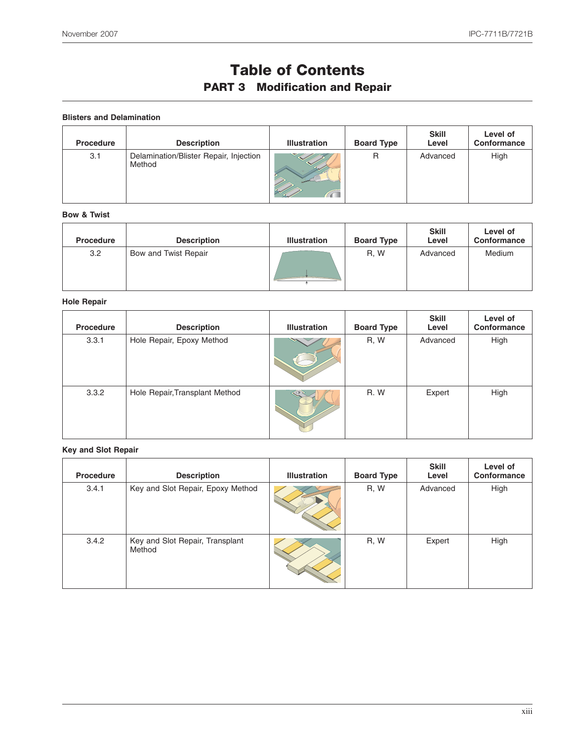# **Table of Contents**

## **PART 3 Modification and Repair**

**Blisters and Delamination**

| <b>Procedure</b> | <b>Description</b>                               | <b>Illustration</b> | <b>Board Type</b> | <b>Skill</b><br>Level | Level of<br>Conformance |
|------------------|--------------------------------------------------|---------------------|-------------------|-----------------------|-------------------------|
| 3.1              | Delamination/Blister Repair, Injection<br>Method |                     | R                 | Advanced              | High                    |

#### **Bow & Twist**

| <b>Procedure</b> | <b>Description</b>   | <b>Illustration</b> | <b>Board Type</b> | <b>Skill</b><br>Level | Level of<br>Conformance |
|------------------|----------------------|---------------------|-------------------|-----------------------|-------------------------|
| 3.2              | Bow and Twist Repair |                     | R, W              | Advanced              | Medium                  |

#### **Hole Repair**

| <b>Procedure</b> | <b>Description</b>             | <b>Illustration</b> | <b>Board Type</b> | <b>Skill</b><br>Level | Level of<br>Conformance |
|------------------|--------------------------------|---------------------|-------------------|-----------------------|-------------------------|
| 3.3.1            | Hole Repair, Epoxy Method      |                     | R, W              | Advanced              | High                    |
| 3.3.2            | Hole Repair, Transplant Method |                     | R.W               | Expert                | High                    |

#### **Key and Slot Repair**

| Procedure | <b>Description</b>                        | <b>Illustration</b> | <b>Board Type</b> | <b>Skill</b><br>Level | Level of<br>Conformance |
|-----------|-------------------------------------------|---------------------|-------------------|-----------------------|-------------------------|
| 3.4.1     | Key and Slot Repair, Epoxy Method         |                     | R, W              | Advanced              | High                    |
| 3.4.2     | Key and Slot Repair, Transplant<br>Method |                     | R, W              | Expert                | High                    |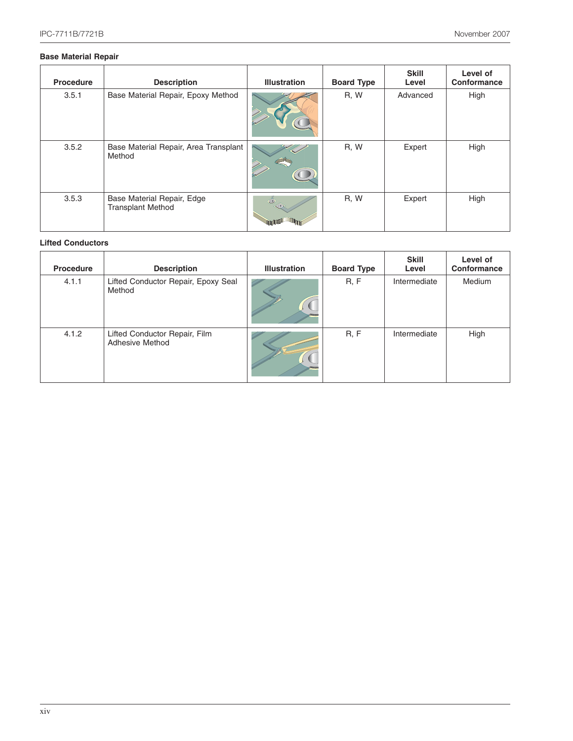#### **Base Material Repair**

| <b>Procedure</b> | <b>Description</b>                                     | <b>Illustration</b> | <b>Board Type</b> | <b>Skill</b><br>Level | Level of<br>Conformance |
|------------------|--------------------------------------------------------|---------------------|-------------------|-----------------------|-------------------------|
| 3.5.1            | Base Material Repair, Epoxy Method                     |                     | R, W              | Advanced              | High                    |
| 3.5.2            | Base Material Repair, Area Transplant<br>Method        | V                   | R, W              | Expert                | High                    |
| 3.5.3            | Base Material Repair, Edge<br><b>Transplant Method</b> | (O)                 | R, W              | Expert                | High                    |

#### **Lifted Conductors**

| <b>Procedure</b> | <b>Description</b>                               | <b>Illustration</b> | <b>Board Type</b> | <b>Skill</b><br>Level | Level of<br>Conformance |
|------------------|--------------------------------------------------|---------------------|-------------------|-----------------------|-------------------------|
| 4.1.1            | Lifted Conductor Repair, Epoxy Seal<br>Method    |                     | R, F              | Intermediate          | Medium                  |
| 4.1.2            | Lifted Conductor Repair, Film<br>Adhesive Method |                     | R, F              | Intermediate          | High                    |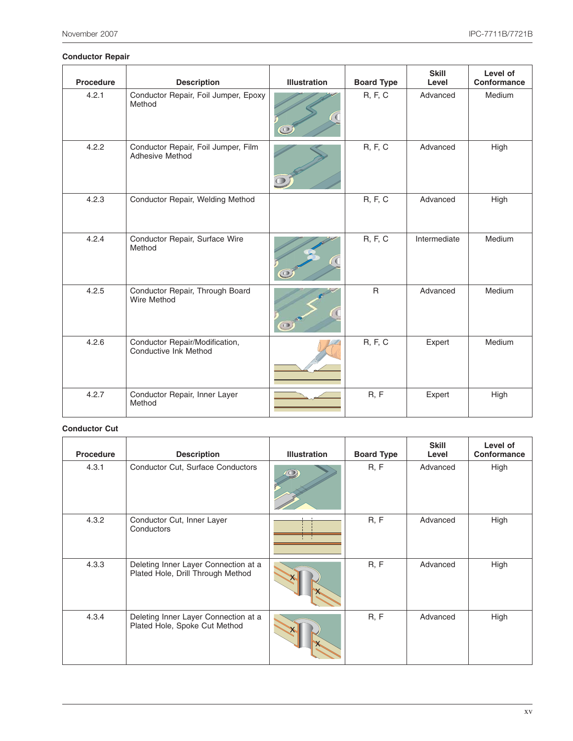#### **Conductor Repair**

| Procedure | <b>Description</b>                                      | <b>Illustration</b> | <b>Board Type</b> | <b>Skill</b><br>Level | Level of<br>Conformance |
|-----------|---------------------------------------------------------|---------------------|-------------------|-----------------------|-------------------------|
| 4.2.1     | Conductor Repair, Foil Jumper, Epoxy<br>Method          | $\circledcirc$      | <b>R, F, C</b>    | Advanced              | Medium                  |
| 4.2.2     | Conductor Repair, Foil Jumper, Film<br>Adhesive Method  |                     | R, F, C           | Advanced              | High                    |
| 4.2.3     | Conductor Repair, Welding Method                        |                     | <b>R, F, C</b>    | Advanced              | High                    |
| 4.2.4     | Conductor Repair, Surface Wire<br>Method                | $\circ$             | <b>R, F, C</b>    | Intermediate          | Medium                  |
| 4.2.5     | Conductor Repair, Through Board<br><b>Wire Method</b>   | $\bullet$           | $\mathsf{R}$      | Advanced              | Medium                  |
| 4.2.6     | Conductor Repair/Modification,<br>Conductive Ink Method |                     | R, F, C           | Expert                | Medium                  |
| 4.2.7     | Conductor Repair, Inner Layer<br>Method                 |                     | R, F              | Expert                | High                    |

#### **Conductor Cut**

| <b>Procedure</b> | <b>Description</b>                                                        | <b>Illustration</b> | <b>Board Type</b> | <b>Skill</b><br>Level | Level of<br>Conformance |
|------------------|---------------------------------------------------------------------------|---------------------|-------------------|-----------------------|-------------------------|
| 4.3.1            | Conductor Cut, Surface Conductors                                         |                     | R, F              | Advanced              | High                    |
| 4.3.2            | Conductor Cut, Inner Layer<br>Conductors                                  |                     | R, F              | Advanced              | High                    |
| 4.3.3            | Deleting Inner Layer Connection at a<br>Plated Hole, Drill Through Method |                     | R, F              | Advanced              | High                    |
| 4.3.4            | Deleting Inner Layer Connection at a<br>Plated Hole, Spoke Cut Method     |                     | R, F              | Advanced              | High                    |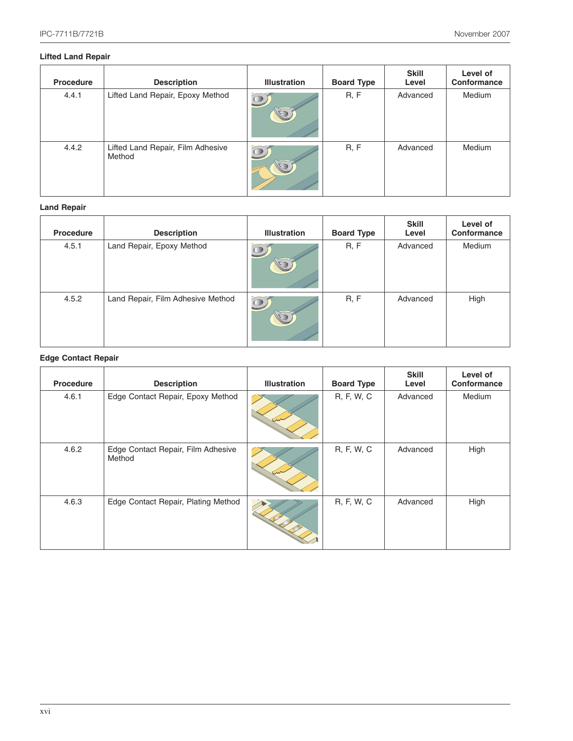#### **Lifted Land Repair**

| <b>Procedure</b> | <b>Description</b>                          | <b>Illustration</b>    | <b>Board Type</b> | <b>Skill</b><br>Level | Level of<br>Conformance |
|------------------|---------------------------------------------|------------------------|-------------------|-----------------------|-------------------------|
| 4.4.1            | Lifted Land Repair, Epoxy Method            | $\boxed{\text{O}}$     | R, F              | Advanced              | Medium                  |
| 4.4.2            | Lifted Land Repair, Film Adhesive<br>Method | $\widehat{\mathbb{C}}$ | R, F              | Advanced              | Medium                  |

#### **Land Repair**

| Procedure | <b>Description</b>                | <b>Illustration</b>       | <b>Board Type</b> | <b>Skill</b><br>Level | Level of<br>Conformance |
|-----------|-----------------------------------|---------------------------|-------------------|-----------------------|-------------------------|
| 4.5.1     | Land Repair, Epoxy Method         | $\widetilde{\mathbb{Q}}$  | R, F              | Advanced              | Medium                  |
| 4.5.2     | Land Repair, Film Adhesive Method | $\widetilde{\mathcal{Q}}$ | R, F              | Advanced              | High                    |

#### **Edge Contact Repair**

| Procedure | <b>Description</b>                           | <b>Illustration</b> | <b>Board Type</b> | <b>Skill</b><br>Level | Level of<br>Conformance |
|-----------|----------------------------------------------|---------------------|-------------------|-----------------------|-------------------------|
| 4.6.1     | Edge Contact Repair, Epoxy Method            |                     | R, F, W, C        | Advanced              | Medium                  |
| 4.6.2     | Edge Contact Repair, Film Adhesive<br>Method |                     | R, F, W, C        | Advanced              | High                    |
| 4.6.3     | Edge Contact Repair, Plating Method          |                     | R, F, W, C        | Advanced              | High                    |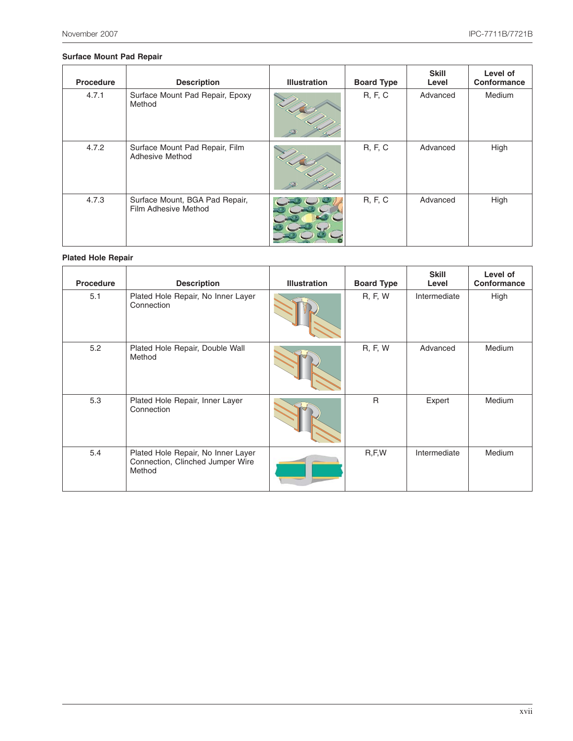#### **Surface Mount Pad Repair**

| Procedure | <b>Description</b>                                     | <b>Illustration</b> | <b>Board Type</b> | <b>Skill</b><br>Level | Level of<br>Conformance |
|-----------|--------------------------------------------------------|---------------------|-------------------|-----------------------|-------------------------|
| 4.7.1     | Surface Mount Pad Repair, Epoxy<br>Method              |                     | <b>R, F, C</b>    | Advanced              | Medium                  |
| 4.7.2     | Surface Mount Pad Repair, Film<br>Adhesive Method      |                     | <b>R, F, C</b>    | Advanced              | High                    |
| 4.7.3     | Surface Mount, BGA Pad Repair,<br>Film Adhesive Method |                     | <b>R, F, C</b>    | Advanced              | High                    |

#### **Plated Hole Repair**

| <b>Procedure</b> | <b>Description</b>                                                               | <b>Illustration</b> | <b>Board Type</b> | <b>Skill</b><br>Level | Level of<br>Conformance |
|------------------|----------------------------------------------------------------------------------|---------------------|-------------------|-----------------------|-------------------------|
| 5.1              | Plated Hole Repair, No Inner Layer<br>Connection                                 |                     | <b>R, F, W</b>    | Intermediate          | High                    |
| 5.2              | Plated Hole Repair, Double Wall<br>Method                                        |                     | <b>R, F, W</b>    | Advanced              | Medium                  |
| 5.3              | Plated Hole Repair, Inner Layer<br>Connection                                    |                     | $\mathsf{R}$      | Expert                | <b>Medium</b>           |
| 5.4              | Plated Hole Repair, No Inner Layer<br>Connection, Clinched Jumper Wire<br>Method |                     | R, F, W           | Intermediate          | <b>Medium</b>           |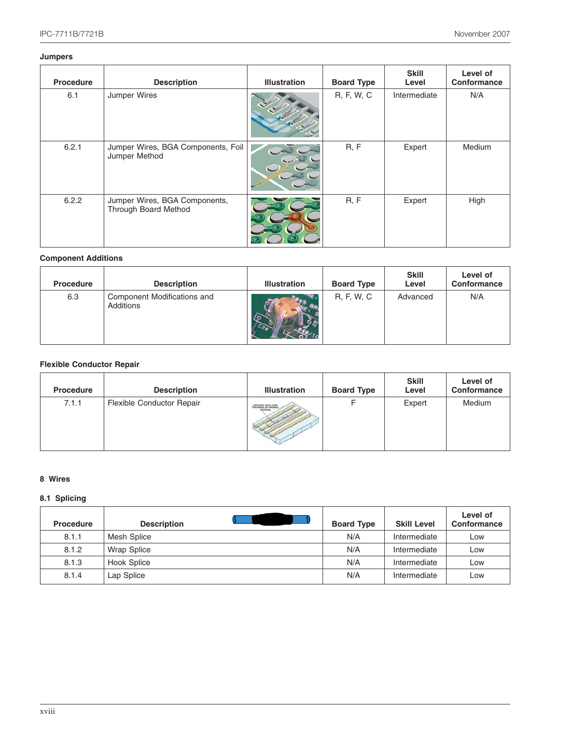#### **Jumpers**

| <b>Procedure</b> | <b>Description</b>                                    | <b>Illustration</b> | <b>Board Type</b> | <b>Skill</b><br>Level | Level of<br>Conformance |
|------------------|-------------------------------------------------------|---------------------|-------------------|-----------------------|-------------------------|
| 6.1              | Jumper Wires                                          |                     | R, F, W, C        | Intermediate          | N/A                     |
| 6.2.1            | Jumper Wires, BGA Components, Foil<br>Jumper Method   |                     | R, F              | Expert                | <b>Medium</b>           |
| 6.2.2            | Jumper Wires, BGA Components,<br>Through Board Method |                     | R, F              | Expert                | High                    |

#### **Component Additions**

| <b>Procedure</b> | <b>Description</b>                       | <b>Illustration</b> | <b>Board Type</b> | <b>Skill</b><br>Level | Level of<br>Conformance |
|------------------|------------------------------------------|---------------------|-------------------|-----------------------|-------------------------|
| 6.3              | Component Modifications and<br>Additions |                     | R, F, W, C        | Advanced              | N/A                     |

#### **Flexible Conductor Repair**

| <b>Procedure</b> | <b>Description</b>               | <b>Illustration</b>                   | <b>Board Type</b> | <b>Skill</b><br>Level | Level of<br>Conformance |
|------------------|----------------------------------|---------------------------------------|-------------------|-----------------------|-------------------------|
| 7.1.1            | <b>Flexible Conductor Repair</b> | REFAIRED AREA SAME<br><b>MATERIAL</b> |                   | Expert                | Medium                  |

#### **8 Wires**

#### **8.1 Splicing**

| <b>Procedure</b> | <b>Description</b> | <b>Board Type</b> | <b>Skill Level</b> | Level of<br>Conformance |
|------------------|--------------------|-------------------|--------------------|-------------------------|
| 8.1.1            | Mesh Splice        | N/A               | Intermediate       | Low                     |
| 8.1.2            | <b>Wrap Splice</b> | N/A               | Intermediate       | Low                     |
| 8.1.3            | Hook Splice        | N/A               | Intermediate       | Low                     |
| 8.1.4            | Lap Splice         | N/A               | Intermediate       | Low                     |